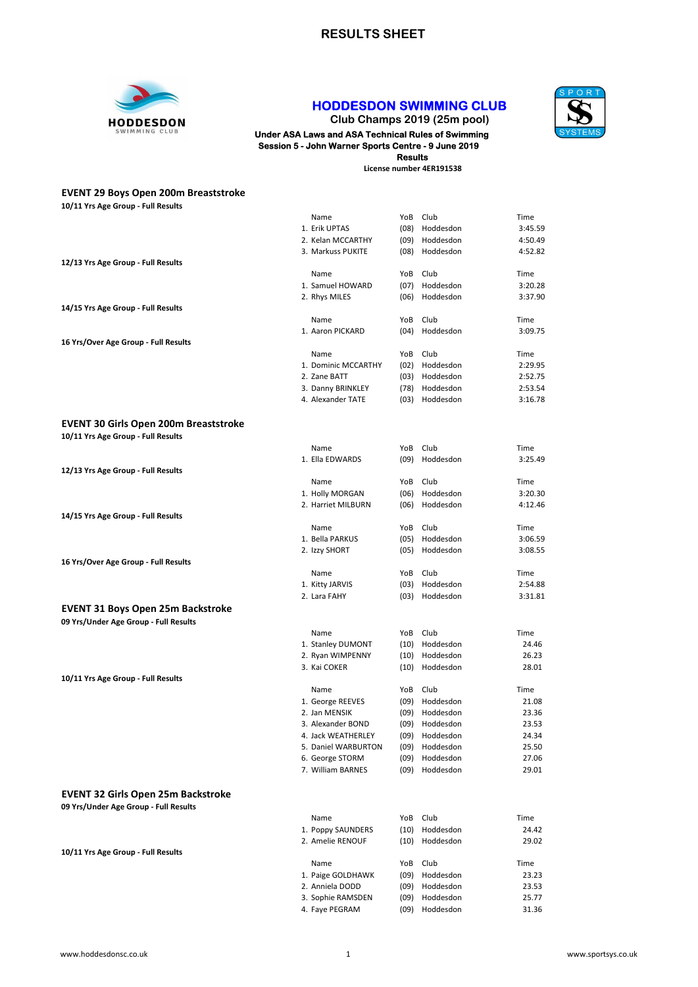

## HODDESDON SWIMMING CLUB

Club Champs 2019 (25m pool) Under ASA Laws and ASA Technical Rules of Swimming Session 5 - John Warner Sports Centre - 9 June 2019 Results

License number 4ER191538



| <b>EVENT 29 Boys Open 200m Breaststroke</b>  |                                       |              |                        |                    |
|----------------------------------------------|---------------------------------------|--------------|------------------------|--------------------|
| 10/11 Yrs Age Group - Full Results           |                                       |              |                        |                    |
|                                              | Name                                  | YoB          | Club                   | Time               |
|                                              | 1. Erik UPTAS                         | (08)         | Hoddesdon              | 3:45.59            |
|                                              | 2. Kelan MCCARTHY                     | (09)         | Hoddesdon              | 4:50.49            |
|                                              | 3. Markuss PUKITE                     | (08)         | Hoddesdon              | 4:52.82            |
| 12/13 Yrs Age Group - Full Results           |                                       | YoB          | Club                   | Time               |
|                                              | Name<br>1. Samuel HOWARD              | (07)         | Hoddesdon              | 3:20.28            |
|                                              | 2. Rhys MILES                         | (06)         | Hoddesdon              | 3:37.90            |
| 14/15 Yrs Age Group - Full Results           |                                       |              |                        |                    |
|                                              | Name                                  | YoB          | Club                   | Time               |
|                                              | 1. Aaron PICKARD                      | (04)         | Hoddesdon              | 3:09.75            |
| 16 Yrs/Over Age Group - Full Results         |                                       |              |                        |                    |
|                                              | Name                                  | YoB          | Club                   | Time               |
|                                              | 1. Dominic MCCARTHY                   | (02)         | Hoddesdon              | 2:29.95            |
|                                              | 2. Zane BATT                          | (03)         | Hoddesdon              | 2:52.75            |
|                                              | 3. Danny BRINKLEY                     | (78)         | Hoddesdon              | 2:53.54            |
|                                              | 4. Alexander TATE                     |              | (03) Hoddesdon         | 3:16.78            |
|                                              |                                       |              |                        |                    |
| <b>EVENT 30 Girls Open 200m Breaststroke</b> |                                       |              |                        |                    |
| 10/11 Yrs Age Group - Full Results           |                                       |              |                        |                    |
|                                              | Name                                  | YoB          | Club                   | Time               |
|                                              | 1. Ella EDWARDS                       | (09)         | Hoddesdon              | 3:25.49            |
| 12/13 Yrs Age Group - Full Results           |                                       |              |                        |                    |
|                                              | Name                                  | YoB          | Club<br>Hoddesdon      | Time               |
|                                              | 1. Holly MORGAN<br>2. Harriet MILBURN | (06)<br>(06) | Hoddesdon              | 3:20.30<br>4:12.46 |
| 14/15 Yrs Age Group - Full Results           |                                       |              |                        |                    |
|                                              | Name                                  | YoB          | Club                   | Time               |
|                                              | 1. Bella PARKUS                       | (05)         | Hoddesdon              | 3:06.59            |
|                                              | 2. Izzy SHORT                         | (05)         | Hoddesdon              | 3:08.55            |
| 16 Yrs/Over Age Group - Full Results         |                                       |              |                        |                    |
|                                              | Name                                  | YoB          | Club                   | Time               |
|                                              | 1. Kitty JARVIS                       | (03)         | Hoddesdon              | 2:54.88            |
|                                              | 2. Lara FAHY                          | (03)         | Hoddesdon              | 3:31.81            |
| <b>EVENT 31 Boys Open 25m Backstroke</b>     |                                       |              |                        |                    |
| 09 Yrs/Under Age Group - Full Results        |                                       |              |                        |                    |
|                                              | Name                                  | YoB          | Club                   | Time               |
|                                              | 1. Stanley DUMONT                     | (10)         | Hoddesdon              | 24.46              |
|                                              | 2. Ryan WIMPENNY                      | (10)         | Hoddesdon              | 26.23              |
|                                              | 3. Kai COKER                          | (10)         | Hoddesdon              | 28.01              |
| 10/11 Yrs Age Group - Full Results           |                                       |              |                        |                    |
|                                              | Name                                  |              | YoB Club               | Time               |
|                                              | 1. George REEVES                      |              | (09) Hoddesdon         | 21.08              |
|                                              | 2. Jan MENSIK                         | (09)         | Hoddesdon              | 23.36              |
|                                              | 3. Alexander BOND                     | (09)         | Hoddesdon              | 23.53              |
|                                              | 4. Jack WEATHERLEY                    | (09)         | Hoddesdon              | 24.34              |
|                                              | 5. Daniel WARBURTON                   | (09)         | Hoddesdon              | 25.50              |
|                                              | 6. George STORM                       | (09)         | Hoddesdon<br>Hoddesdon | 27.06              |
|                                              | 7. William BARNES                     | (09)         |                        | 29.01              |
| <b>EVENT 32 Girls Open 25m Backstroke</b>    |                                       |              |                        |                    |
| 09 Yrs/Under Age Group - Full Results        |                                       |              |                        |                    |
|                                              | Name                                  | YoB          | Club                   | Time               |
|                                              | 1. Poppy SAUNDERS                     | (10)         | Hoddesdon              | 24.42              |
|                                              | 2. Amelie RENOUF                      | (10)         | Hoddesdon              | 29.02              |
| 10/11 Yrs Age Group - Full Results           |                                       |              |                        |                    |
|                                              | Name                                  | YoB          | Club                   | Time               |
|                                              | 1. Paige GOLDHAWK                     | (09)         | Hoddesdon              | 23.23              |
|                                              | 2. Anniela DODD                       | (09)         | Hoddesdon              | 23.53              |
|                                              | 3. Sophie RAMSDEN                     | (09)         | Hoddesdon              | 25.77              |
|                                              | 4. Faye PEGRAM                        | (09)         | Hoddesdon              | 31.36              |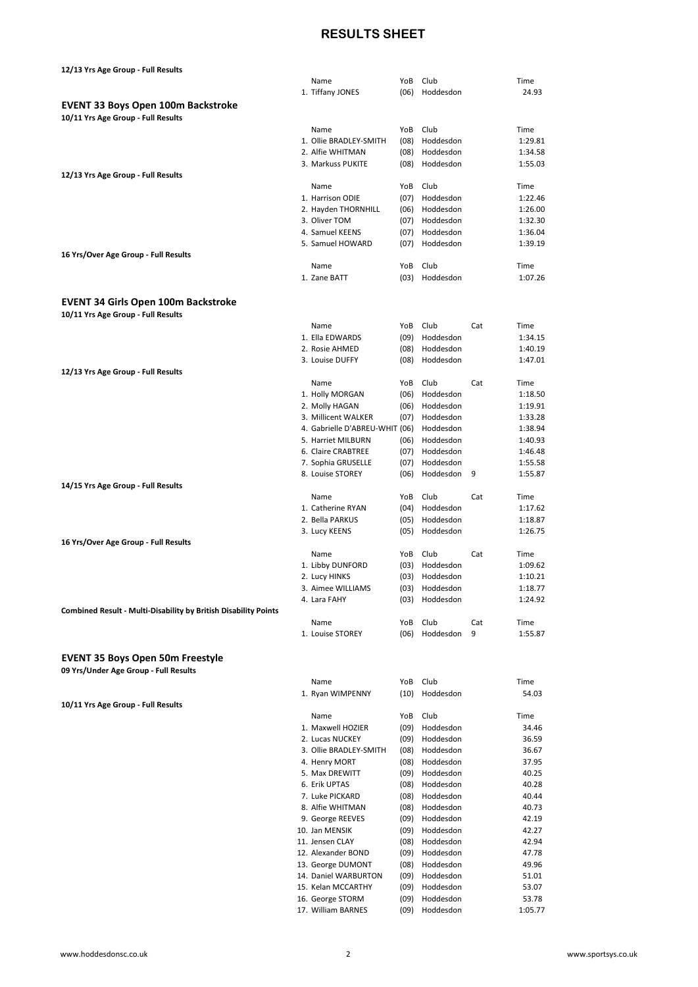## RESULTS SHEET

| 12/13 Yrs Age Group - Full Results                                     |                                        |              |                        |     |                |
|------------------------------------------------------------------------|----------------------------------------|--------------|------------------------|-----|----------------|
|                                                                        | Name                                   | YoB          | Club                   |     | Time           |
|                                                                        | 1. Tiffany JONES                       | (06)         | Hoddesdon              |     | 24.93          |
| <b>EVENT 33 Boys Open 100m Backstroke</b>                              |                                        |              |                        |     |                |
| 10/11 Yrs Age Group - Full Results                                     |                                        |              |                        |     |                |
|                                                                        | Name                                   | YoB          | Club                   |     | Time           |
|                                                                        | 1. Ollie BRADLEY-SMITH                 | (08)         | Hoddesdon              |     | 1:29.81        |
|                                                                        | 2. Alfie WHITMAN                       | (08)         | Hoddesdon              |     | 1:34.58        |
|                                                                        | 3. Markuss PUKITE                      | (08)         | Hoddesdon              |     | 1:55.03        |
| 12/13 Yrs Age Group - Full Results                                     |                                        |              |                        |     |                |
|                                                                        | Name                                   |              | YoB Club               |     | Time           |
|                                                                        | 1. Harrison ODIE                       | (07)         | Hoddesdon              |     | 1:22.46        |
|                                                                        | 2. Hayden THORNHILL                    | (06)         | Hoddesdon              |     | 1:26.00        |
|                                                                        | 3. Oliver TOM                          | (07)         | Hoddesdon              |     | 1:32.30        |
|                                                                        | 4. Samuel KEENS                        | (07)         | Hoddesdon              |     | 1:36.04        |
|                                                                        | 5. Samuel HOWARD                       | (07)         | Hoddesdon              |     | 1:39.19        |
| 16 Yrs/Over Age Group - Full Results                                   |                                        |              |                        |     |                |
|                                                                        | Name                                   |              | YoB Club               |     | Time           |
|                                                                        | 1. Zane BATT                           | (03)         | Hoddesdon              |     | 1:07.26        |
|                                                                        |                                        |              |                        |     |                |
| <b>EVENT 34 Girls Open 100m Backstroke</b>                             |                                        |              |                        |     |                |
| 10/11 Yrs Age Group - Full Results                                     |                                        |              |                        |     |                |
|                                                                        | Name                                   | YoB          | Club                   | Cat | Time           |
|                                                                        | 1. Ella EDWARDS                        | (09)         | Hoddesdon              |     | 1:34.15        |
|                                                                        | 2. Rosie AHMED                         | (08)         | Hoddesdon              |     | 1:40.19        |
|                                                                        | 3. Louise DUFFY                        | (08)         | Hoddesdon              |     | 1:47.01        |
| 12/13 Yrs Age Group - Full Results                                     | Name                                   | YoB          | Club                   | Cat | Time           |
|                                                                        | 1. Holly MORGAN                        | (06)         | Hoddesdon              |     | 1:18.50        |
|                                                                        | 2. Molly HAGAN                         | (06)         | Hoddesdon              |     | 1:19.91        |
|                                                                        | 3. Millicent WALKER                    | (07)         | Hoddesdon              |     | 1:33.28        |
|                                                                        | 4. Gabrielle D'ABREU-WHIT (06)         |              | Hoddesdon              |     | 1:38.94        |
|                                                                        | 5. Harriet MILBURN                     | (06)         | Hoddesdon              |     | 1:40.93        |
|                                                                        | 6. Claire CRABTREE                     | (07)         | Hoddesdon              |     | 1:46.48        |
|                                                                        | 7. Sophia GRUSELLE                     | (07)         | Hoddesdon              |     | 1:55.58        |
|                                                                        | 8. Louise STOREY                       | (06)         | Hoddesdon              | 9   | 1:55.87        |
| 14/15 Yrs Age Group - Full Results                                     |                                        |              |                        |     |                |
|                                                                        |                                        |              |                        |     |                |
|                                                                        | Name                                   | YoB          | Club                   | Cat | Time           |
|                                                                        | 1. Catherine RYAN                      | (04)         | Hoddesdon              |     | 1:17.62        |
|                                                                        | 2. Bella PARKUS                        | (05)         | Hoddesdon              |     | 1:18.87        |
|                                                                        | 3. Lucy KEENS                          | (05)         | Hoddesdon              |     | 1:26.75        |
| 16 Yrs/Over Age Group - Full Results                                   |                                        |              |                        |     |                |
|                                                                        | Name                                   |              | YoB Club               | Cat | Time           |
|                                                                        | 1. Libby DUNFORD                       | (03)         | Hoddesdon              |     | 1:09.62        |
|                                                                        | 2. Lucy HINKS                          | (03)         | Hoddesdon              |     | 1:10.21        |
|                                                                        | 3. Aimee WILLIAMS                      |              | (03) Hoddesdon         |     | 1:18.77        |
|                                                                        | 4. Lara FAHY                           |              | (03) Hoddesdon         |     | 1:24.92        |
| <b>Combined Result - Multi-Disability by British Disability Points</b> |                                        |              |                        |     |                |
|                                                                        | Name                                   | YoB          | Club                   | Cat | Time           |
|                                                                        | 1. Louise STOREY                       | (06)         | Hoddesdon              | 9   | 1:55.87        |
|                                                                        |                                        |              |                        |     |                |
| <b>EVENT 35 Boys Open 50m Freestyle</b>                                |                                        |              |                        |     |                |
| 09 Yrs/Under Age Group - Full Results                                  |                                        |              |                        |     |                |
|                                                                        | Name                                   | YoB          | Club                   |     | Time           |
|                                                                        | 1. Ryan WIMPENNY                       | (10)         | Hoddesdon              |     | 54.03          |
| 10/11 Yrs Age Group - Full Results                                     |                                        |              |                        |     |                |
|                                                                        | Name                                   | YoB          | Club                   |     | Time           |
|                                                                        | 1. Maxwell HOZIER                      | (09)         | Hoddesdon              |     | 34.46          |
|                                                                        | 2. Lucas NUCKEY                        | (09)         | Hoddesdon              |     | 36.59          |
|                                                                        | 3. Ollie BRADLEY-SMITH                 | (08)         | Hoddesdon              |     | 36.67          |
|                                                                        | 4. Henry MORT                          | (08)         | Hoddesdon              |     | 37.95          |
|                                                                        | 5. Max DREWITT                         | (09)         | Hoddesdon              |     | 40.25          |
|                                                                        | 6. Erik UPTAS                          | (08)         | Hoddesdon              |     | 40.28          |
|                                                                        | 7. Luke PICKARD                        | (08)         | Hoddesdon              |     | 40.44          |
|                                                                        | 8. Alfie WHITMAN                       | (08)         | Hoddesdon              |     | 40.73          |
|                                                                        | 9. George REEVES                       | (09)         | Hoddesdon              |     | 42.19          |
|                                                                        | 10. Jan MENSIK                         | (09)         | Hoddesdon              |     | 42.27          |
|                                                                        | 11. Jensen CLAY                        | (08)         | Hoddesdon              |     | 42.94          |
|                                                                        | 12. Alexander BOND                     | (09)         | Hoddesdon              |     | 47.78          |
|                                                                        | 13. George DUMONT                      | (08)         | Hoddesdon              |     | 49.96          |
|                                                                        | 14. Daniel WARBURTON                   | (09)         | Hoddesdon              |     | 51.01          |
|                                                                        | 15. Kelan MCCARTHY<br>16. George STORM | (09)<br>(09) | Hoddesdon<br>Hoddesdon |     | 53.07<br>53.78 |